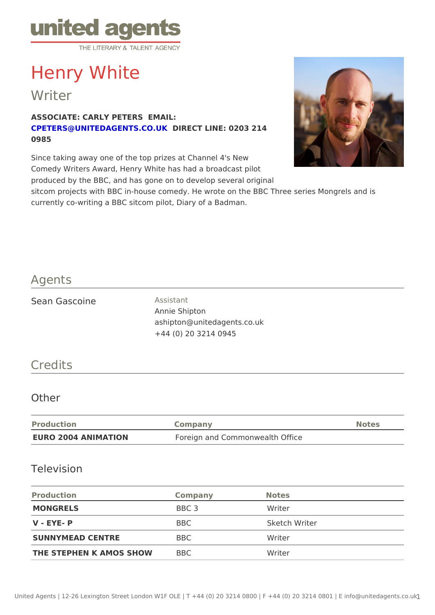# Henry White

Writer

ASSOCIATE: CARLY PETERS EMAIL: [CPETERS@UNITEDAGENTS](mailto:CPETERS@UNITEDAGENTS.CO.UK).OOREKT LINE: 0203 214 0985

Since taking away one of the top prizes at Channel 4's New Comedy Writers Award, Henry White has had a broadcast pilot produced by the BBC, and has gone on to develop several original sitcom projects with BBC in-house comedy. He wrote on the BBC Three series currently co-writing a BBC sitcom pilot, Diary of a Badman.

### Agents

| Sean Gascoine | Assistant                   |  |
|---------------|-----------------------------|--|
|               | Annie Shipton               |  |
|               | ashipton@unitedagents.co.uk |  |
|               | +44 (0) 20 3214 0945        |  |

### Credits

#### Other

| Production          | Company                         | Notes |
|---------------------|---------------------------------|-------|
| EURO 2004 ANIMATION | Foreign and Commonwealth Office |       |

#### Television

| Production                 | Company    | Notes         |
|----------------------------|------------|---------------|
| MONGRELS                   | BBC 3      | Writer        |
| $V - FYE - P$              | <b>BBC</b> | Sketch Writer |
| SUNNYMEAD CENTRE           | B B C      | Writer        |
| THE STEPHEN K AMOS SHOEMBC |            | Writer        |